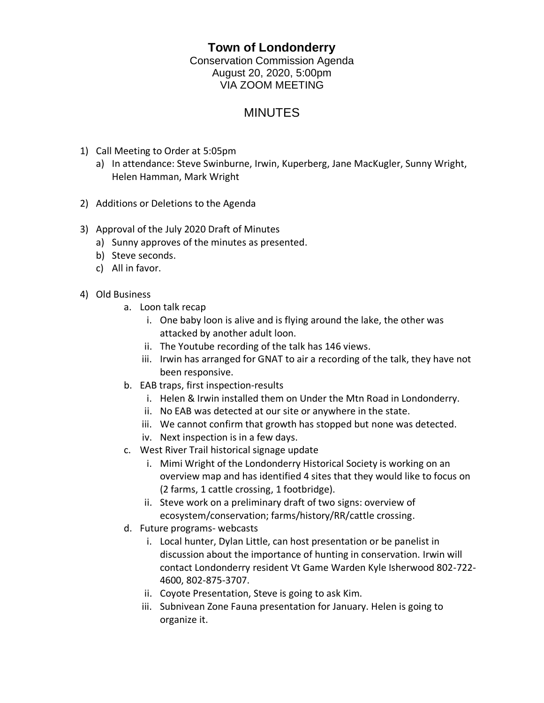## **Town of Londonderry**

Conservation Commission Agenda August 20, 2020, 5:00pm VIA ZOOM MEETING

## **MINUTES**

- 1) Call Meeting to Order at 5:05pm
	- a) In attendance: Steve Swinburne, Irwin, Kuperberg, Jane MacKugler, Sunny Wright, Helen Hamman, Mark Wright
- 2) Additions or Deletions to the Agenda
- 3) Approval of the July 2020 Draft of Minutes
	- a) Sunny approves of the minutes as presented.
	- b) Steve seconds.
	- c) All in favor.
- 4) Old Business
	- a. Loon talk recap
		- i. One baby loon is alive and is flying around the lake, the other was attacked by another adult loon.
		- ii. The Youtube recording of the talk has 146 views.
		- iii. Irwin has arranged for GNAT to air a recording of the talk, they have not been responsive.
	- b. EAB traps, first inspection-results
		- i. Helen & Irwin installed them on Under the Mtn Road in Londonderry.
		- ii. No EAB was detected at our site or anywhere in the state.
		- iii. We cannot confirm that growth has stopped but none was detected.
		- iv. Next inspection is in a few days.
	- c. West River Trail historical signage update
		- i. Mimi Wright of the Londonderry Historical Society is working on an overview map and has identified 4 sites that they would like to focus on (2 farms, 1 cattle crossing, 1 footbridge).
		- ii. Steve work on a preliminary draft of two signs: overview of ecosystem/conservation; farms/history/RR/cattle crossing.
	- d. Future programs- webcasts
		- i. Local hunter, Dylan Little, can host presentation or be panelist in discussion about the importance of hunting in conservation. Irwin will contact Londonderry resident Vt Game Warden Kyle Isherwood 802-722- 4600, 802-875-3707.
		- ii. Coyote Presentation, Steve is going to ask Kim.
		- iii. Subnivean Zone Fauna presentation for January. Helen is going to organize it.